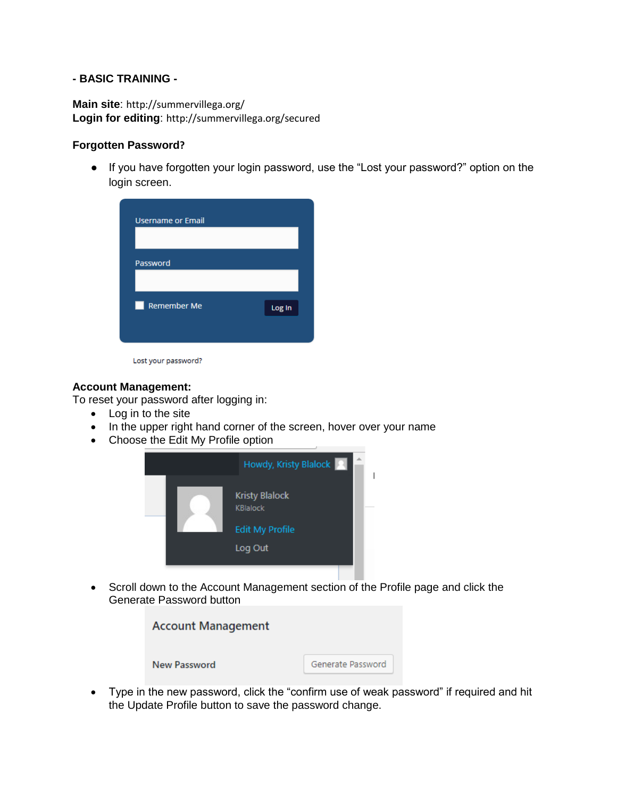### **- BASIC TRAINING -**

**Main site**: http://summervillega.org/ **Login for editing**: http://summervillega.org/secured

### **Forgotten Password?**

● If you have forgotten your login password, use the "Lost your password?" option on the login screen.

| Password                |        |
|-------------------------|--------|
| <b>Remember Me</b><br>u | Log In |

Lost your password?

### **Account Management:**

To reset your password after logging in:

- Log in to the site
- In the upper right hand corner of the screen, hover over your name
- Choose the Edit My Profile option



 Scroll down to the Account Management section of the Profile page and click the Generate Password button



 Type in the new password, click the "confirm use of weak password" if required and hit the Update Profile button to save the password change.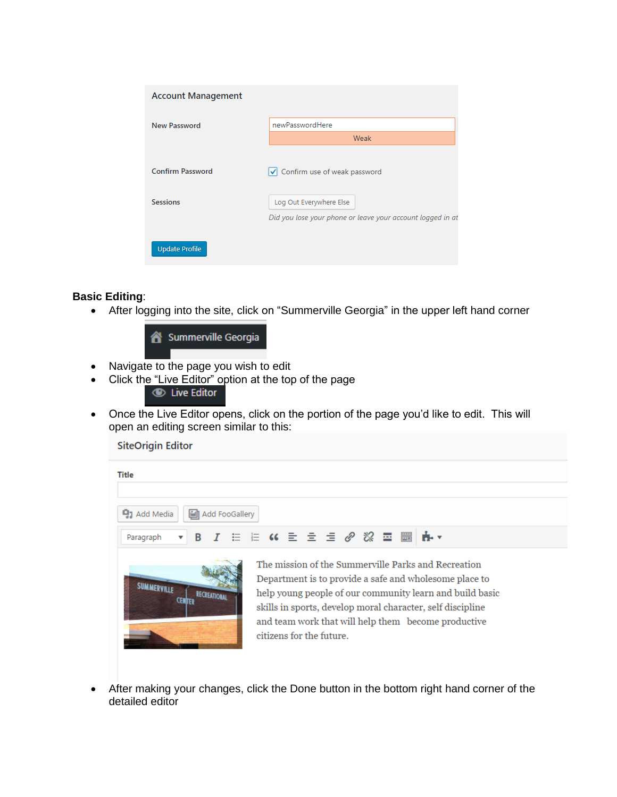| <b>Account Management</b>                  |                                                            |
|--------------------------------------------|------------------------------------------------------------|
| <b>New Password</b>                        | newPasswordHere                                            |
|                                            | Weak                                                       |
| <b>Confirm Password</b><br><b>Sessions</b> | √ Confirm use of weak password<br>Log Out Everywhere Else  |
| <b>Update Profile</b>                      | Did you lose your phone or leave your account logged in at |
|                                            |                                                            |

# **Basic Editing**:

After logging into the site, click on "Summerville Georgia" in the upper left hand corner



- Navigate to the page you wish to edit
- Click the "Live Editor" option at the top of the page<br> **Example 20** Live Editor
- Once the Live Editor opens, click on the portion of the page you'd like to edit. This will open an editing screen similar to this:

**SiteOrigin Editor** 

| Title                          |   |            |                |                          |  |  |  |                                                                                                                                                                                                                                                                                                |
|--------------------------------|---|------------|----------------|--------------------------|--|--|--|------------------------------------------------------------------------------------------------------------------------------------------------------------------------------------------------------------------------------------------------------------------------------------------------|
| <b>Q<sub>1</sub></b> Add Media | М |            | Add FooGallery |                          |  |  |  |                                                                                                                                                                                                                                                                                                |
| Paragraph                      |   |            |                |                          |  |  |  | ▼ B J H H (( ) ミ m = 2 / 8 霊 ■   n+ ▼                                                                                                                                                                                                                                                          |
| <b>SUMMERVALLE</b>             |   | RECREATION |                | citizens for the future. |  |  |  | The mission of the Summerville Parks and Recreation<br>Department is to provide a safe and wholesome place to<br>help young people of our community learn and build basic<br>skills in sports, develop moral character, self discipline<br>and team work that will help them become productive |

 After making your changes, click the Done button in the bottom right hand corner of the detailed editor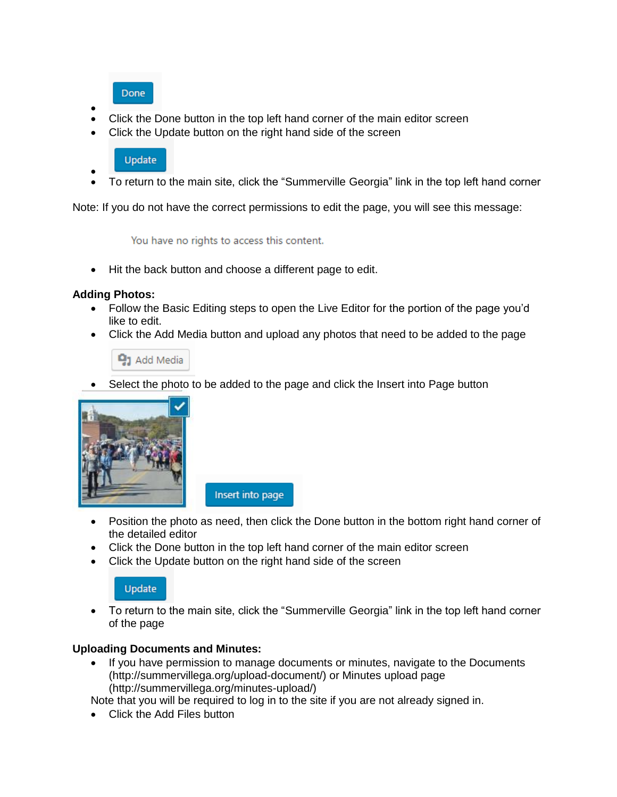**Done** 

- $\bullet$ Click the Done button in the top left hand corner of the main editor screen
- Click the Update button on the right hand side of the screen

# **Update**

 $\bullet$ To return to the main site, click the "Summerville Georgia" link in the top left hand corner

Note: If you do not have the correct permissions to edit the page, you will see this message:

You have no rights to access this content.

• Hit the back button and choose a different page to edit.

# **Adding Photos:**

- Follow the Basic Editing steps to open the Live Editor for the portion of the page you'd like to edit.
- Click the Add Media button and upload any photos that need to be added to the page



Select the photo to be added to the page and click the Insert into Page button



Insert into page

- Position the photo as need, then click the Done button in the bottom right hand corner of the detailed editor
- Click the Done button in the top left hand corner of the main editor screen
- Click the Update button on the right hand side of the screen

# **Update**

 To return to the main site, click the "Summerville Georgia" link in the top left hand corner of the page

# **Uploading Documents and Minutes:**

• If you have permission to manage documents or minutes, navigate to the Documents (http://summervillega.org/upload-document/) or Minutes upload page (http://summervillega.org/minutes-upload/)

Note that you will be required to log in to the site if you are not already signed in.

• Click the Add Files button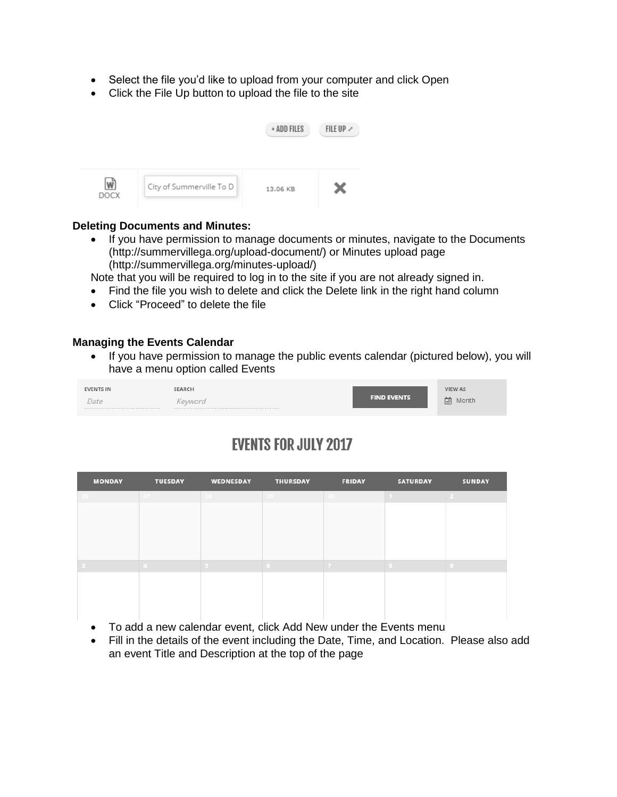- Select the file you'd like to upload from your computer and click Open
- Click the File Up button to upload the file to the site

|             |                          | + ADD FILES | FILE UP $\lambda$ |
|-------------|--------------------------|-------------|-------------------|
| <b>DOCX</b> | City of Summerville To D | 13.06 KB    | x                 |

### **Deleting Documents and Minutes:**

• If you have permission to manage documents or minutes, navigate to the Documents (http://summervillega.org/upload-document/) or Minutes upload page (http://summervillega.org/minutes-upload/)

Note that you will be required to log in to the site if you are not already signed in.

- Find the file you wish to delete and click the Delete link in the right hand column
- Click "Proceed" to delete the file

### **Managing the Events Calendar**

• If you have permission to manage the public events calendar (pictured below), you will have a menu option called Events

| <b>EVENTS IN</b>                     | SEARCH  |                    | <b>VIEW AS</b> |
|--------------------------------------|---------|--------------------|----------------|
| Date                                 | Keyword | <b>FIND EVENTS</b> | Month          |
| ------------------------------------ |         |                    | 画              |

# **EVENTS FOR JULY 2017**

| <b>MONDAY</b> | <b>TUESDAY</b> | WEDNESDAY | <b>THURSDAY</b> | <b>FRIDAY</b> | <b>SATURDAY</b> | <b>SUNDAY</b> |
|---------------|----------------|-----------|-----------------|---------------|-----------------|---------------|
|               |                |           |                 |               |                 |               |
|               |                |           |                 |               |                 |               |
|               |                |           |                 |               |                 |               |
|               |                |           |                 |               |                 |               |
|               |                |           |                 |               |                 |               |
|               |                |           |                 |               |                 |               |
|               |                |           |                 |               |                 |               |
|               |                |           |                 |               |                 |               |
|               |                |           |                 |               |                 |               |
|               |                |           |                 |               |                 |               |

- To add a new calendar event, click Add New under the Events menu
- Fill in the details of the event including the Date, Time, and Location. Please also add an event Title and Description at the top of the page